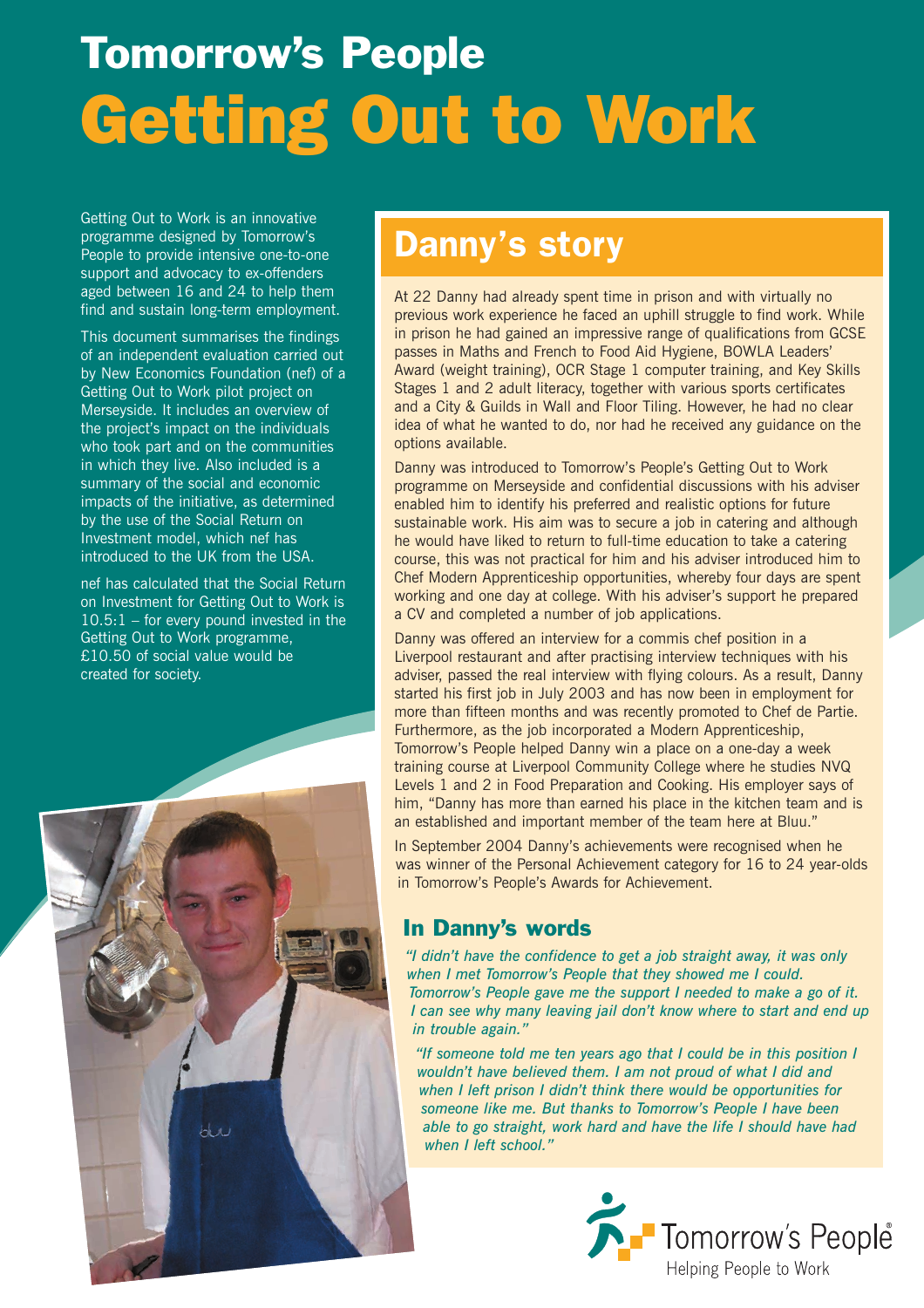# Tomorrow's People Getting Out to Work

Getting Out to Work is an innovative programme designed by Tomorrow's People to provide intensive one-to-one support and advocacy to ex-offenders aged between 16 and 24 to help them find and sustain long-term employment.

This document summarises the findings of an independent evaluation carried out by New Economics Foundation (nef) of a Getting Out to Work pilot project on Merseyside. It includes an overview of the project's impact on the individuals who took part and on the communities in which they live. Also included is a summary of the social and economic impacts of the initiative, as determined by the use of the Social Return on Investment model, which nef has introduced to the UK from the USA.

nef has calculated that the Social Return on Investment for Getting Out to Work is  $10.5:1$  – for every pound invested in the Getting Out to Work programme, £10.50 of social value would be created for society.



## Danny's story

At 22 Danny had already spent time in prison and with virtually no previous work experience he faced an uphill struggle to find work. While in prison he had gained an impressive range of qualifications from GCSE passes in Maths and French to Food Aid Hygiene, BOWLA Leaders' Award (weight training), OCR Stage 1 computer training, and Key Skills Stages 1 and 2 adult literacy, together with various sports certificates and a City & Guilds in Wall and Floor Tiling. However, he had no clear idea of what he wanted to do, nor had he received any guidance on the options available.

Danny was introduced to Tomorrow's People's Getting Out to Work programme on Merseyside and confidential discussions with his adviser enabled him to identify his preferred and realistic options for future sustainable work. His aim was to secure a job in catering and although he would have liked to return to full-time education to take a catering course, this was not practical for him and his adviser introduced him to Chef Modern Apprenticeship opportunities, whereby four days are spent working and one day at college. With his adviser's support he prepared a CV and completed a number of job applications.

Danny was offered an interview for a commis chef position in a Liverpool restaurant and after practising interview techniques with his adviser, passed the real interview with flying colours. As a result, Danny started his first job in July 2003 and has now been in employment for more than fifteen months and was recently promoted to Chef de Partie. Furthermore, as the job incorporated a Modern Apprenticeship, Tomorrow's People helped Danny win a place on a one-day a week training course at Liverpool Community College where he studies NVQ Levels 1 and 2 in Food Preparation and Cooking. His employer says of him, "Danny has more than earned his place in the kitchen team and is an established and important member of the team here at Bluu."

In September 2004 Danny's achievements were recognised when he was winner of the Personal Achievement category for 16 to 24 year-olds in Tomorrow's People's Awards for Achievement.

#### In Danny's words

*"I didn't have the confidence to get a job straight away, it was only when I met Tomorrow's People that they showed me I could. Tomorrow's People gave me the support I needed to make a go of it. I can see why many leaving jail don't know where to start and end up in trouble again."*

*"If someone told me ten years ago that I could be in this position I wouldn't have believed them. I am not proud of what I did and when I left prison I didn't think there would be opportunities for someone like me. But thanks to Tomorrow's People I have been able to go straight, work hard and have the life I should have had when I left school."*

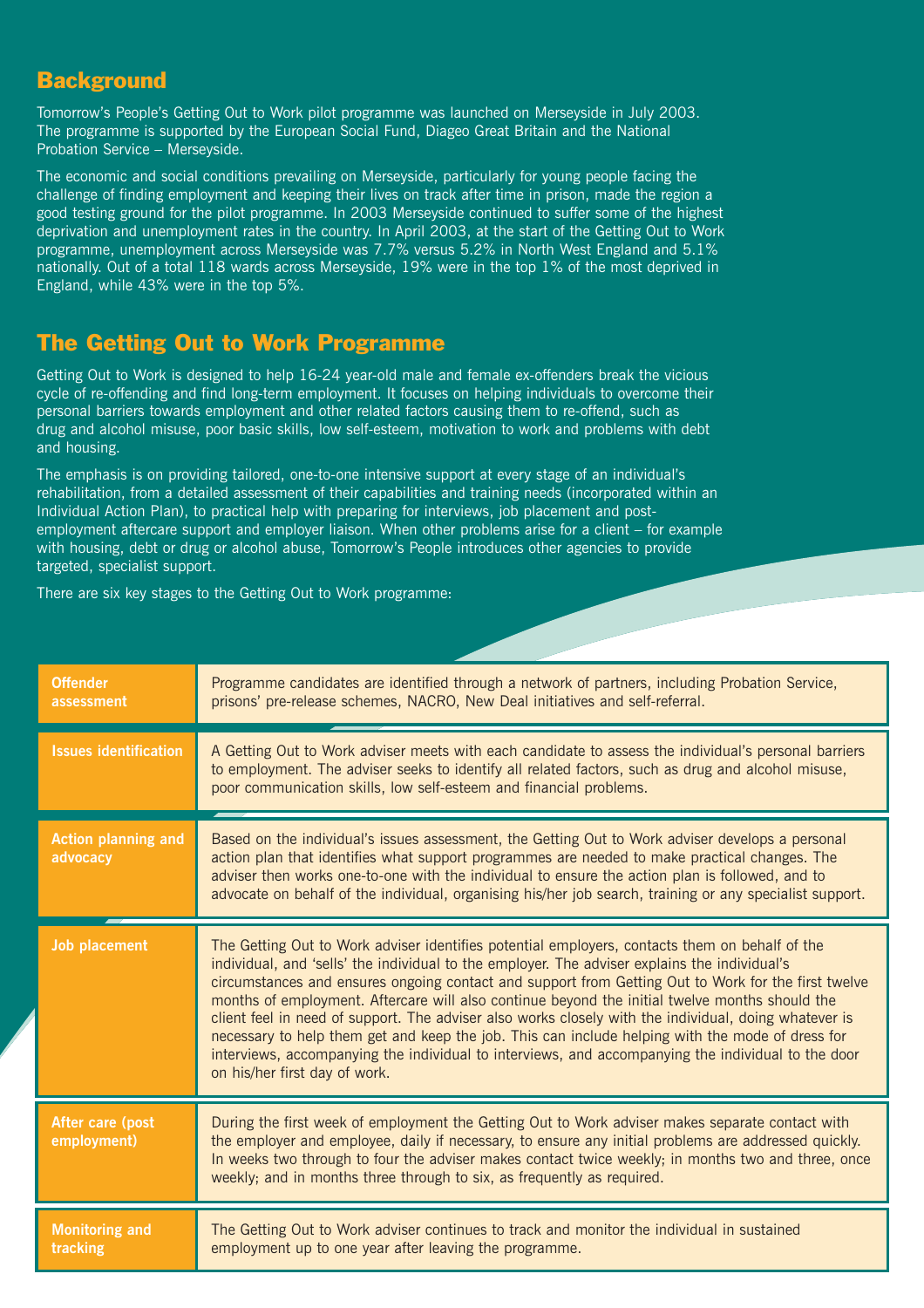#### **Background**

Tomorrow's People's Getting Out to Work pilot programme was launched on Merseyside in July 2003. The programme is supported by the European Social Fund, Diageo Great Britain and the National Probation Service – Merseyside.

The economic and social conditions prevailing on Merseyside, particularly for young people facing the challenge of finding employment and keeping their lives on track after time in prison, made the region a good testing ground for the pilot programme. In 2003 Merseyside continued to suffer some of the highest deprivation and unemployment rates in the country. In April 2003, at the start of the Getting Out to Work programme, unemployment across Merseyside was 7.7% versus 5.2% in North West England and 5.1% nationally. Out of a total 118 wards across Merseyside, 19% were in the top 1% of the most deprived in England, while 43% were in the top 5%.

#### The Getting Out to Work Programme

Getting Out to Work is designed to help 16-24 year-old male and female ex-offenders break the vicious cycle of re-offending and find long-term employment. It focuses on helping individuals to overcome their personal barriers towards employment and other related factors causing them to re-offend, such as drug and alcohol misuse, poor basic skills, low self-esteem, motivation to work and problems with debt and housing.

The emphasis is on providing tailored, one-to-one intensive support at every stage of an individual's rehabilitation, from a detailed assessment of their capabilities and training needs (incorporated within an Individual Action Plan), to practical help with preparing for interviews, job placement and postemployment aftercare support and employer liaison. When other problems arise for a client – for example with housing, debt or drug or alcohol abuse, Tomorrow's People introduces other agencies to provide targeted, specialist support.

There are six key stages to the Getting Out to Work programme:

| <b>Offender</b><br>assessment          | Programme candidates are identified through a network of partners, including Probation Service,<br>prisons' pre-release schemes, NACRO, New Deal initiatives and self-referral.                                                                                                                                                                                                                                                                                                                                                                                                                                                                                                                                                                              |
|----------------------------------------|--------------------------------------------------------------------------------------------------------------------------------------------------------------------------------------------------------------------------------------------------------------------------------------------------------------------------------------------------------------------------------------------------------------------------------------------------------------------------------------------------------------------------------------------------------------------------------------------------------------------------------------------------------------------------------------------------------------------------------------------------------------|
| <b>Issues identification</b>           | A Getting Out to Work adviser meets with each candidate to assess the individual's personal barriers<br>to employment. The adviser seeks to identify all related factors, such as drug and alcohol misuse,<br>poor communication skills, low self-esteem and financial problems.                                                                                                                                                                                                                                                                                                                                                                                                                                                                             |
| <b>Action planning and</b><br>advocacy | Based on the individual's issues assessment, the Getting Out to Work adviser develops a personal<br>action plan that identifies what support programmes are needed to make practical changes. The<br>adviser then works one-to-one with the individual to ensure the action plan is followed, and to<br>advocate on behalf of the individual, organising his/her job search, training or any specialist support.                                                                                                                                                                                                                                                                                                                                             |
| <b>Job placement</b>                   | The Getting Out to Work adviser identifies potential employers, contacts them on behalf of the<br>individual, and 'sells' the individual to the employer. The adviser explains the individual's<br>circumstances and ensures ongoing contact and support from Getting Out to Work for the first twelve<br>months of employment. Aftercare will also continue beyond the initial twelve months should the<br>client feel in need of support. The adviser also works closely with the individual, doing whatever is<br>necessary to help them get and keep the job. This can include helping with the mode of dress for<br>interviews, accompanying the individual to interviews, and accompanying the individual to the door<br>on his/her first day of work. |
| After care (post<br>employment)        | During the first week of employment the Getting Out to Work adviser makes separate contact with<br>the employer and employee, daily if necessary, to ensure any initial problems are addressed quickly.<br>In weeks two through to four the adviser makes contact twice weekly; in months two and three, once<br>weekly; and in months three through to six, as frequently as required.                                                                                                                                                                                                                                                                                                                                                                      |
| <b>Monitoring and</b><br>tracking      | The Getting Out to Work adviser continues to track and monitor the individual in sustained<br>employment up to one year after leaving the programme.                                                                                                                                                                                                                                                                                                                                                                                                                                                                                                                                                                                                         |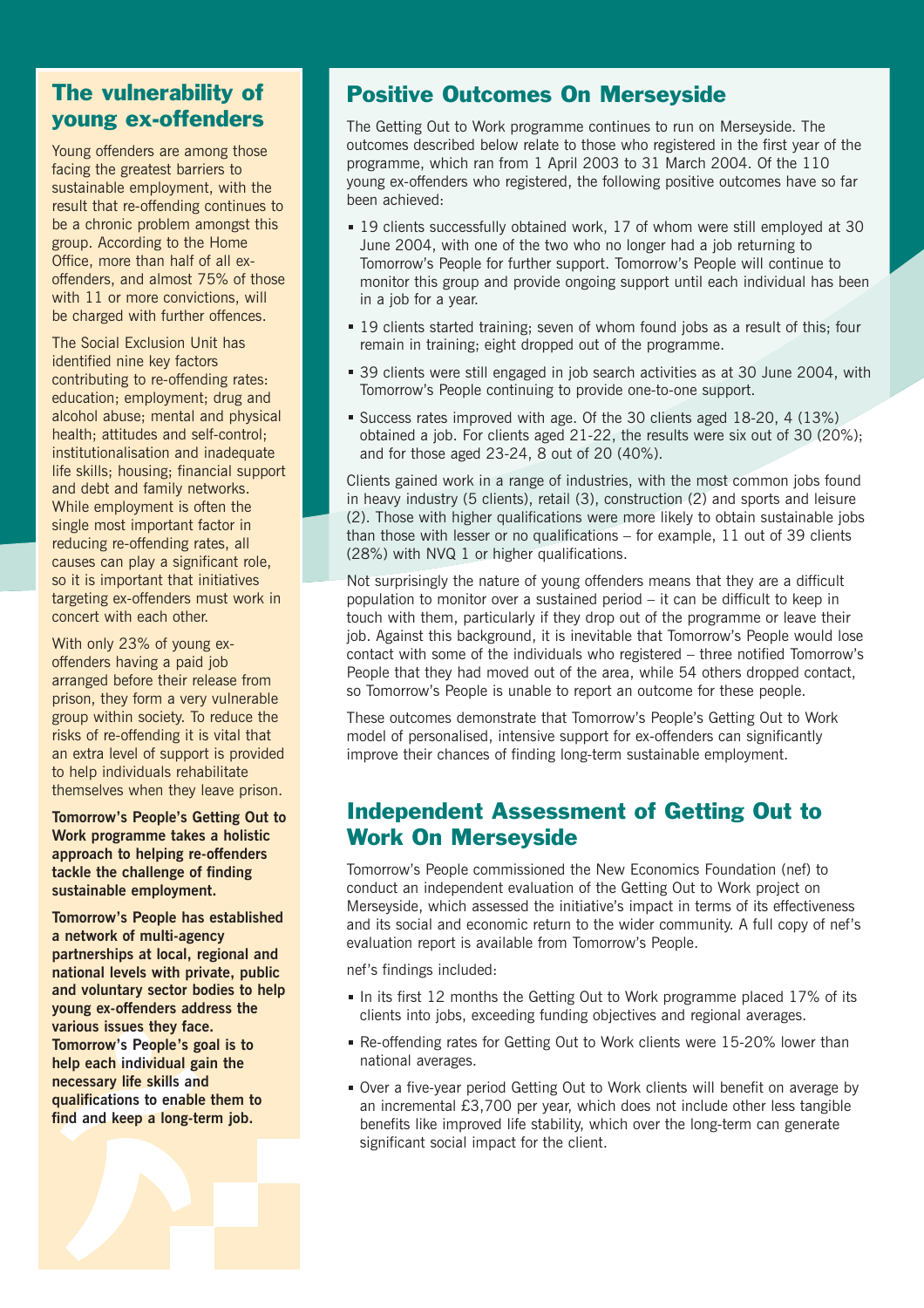#### The vulnerability of young ex-offenders

Young offenders are among those facing the greatest barriers to sustainable employment, with the result that re-offending continues to be a chronic problem amongst this group. According to the Home Office, more than half of all exoffenders, and almost 75% of those with 11 or more convictions, will be charged with further offences.

The Social Exclusion Unit has identified nine key factors contributing to re-offending rates: education; employment; drug and alcohol abuse; mental and physical health; attitudes and self-control; institutionalisation and inadequate life skills; housing; financial support and debt and family networks. While employment is often the single most important factor in reducing re-offending rates, all causes can play a significant role, so it is important that initiatives targeting ex-offenders must work in concert with each other.

With only 23% of young exoffenders having a paid job arranged before their release from prison, they form a very vulnerable group within society. To reduce the risks of re-offending it is vital that an extra level of support is provided to help individuals rehabilitate themselves when they leave prison.

**Tomorrow's People's Getting Out to Work programme takes a holistic approach to helping re-offenders tackle the challenge of finding sustainable employment.** 

**Tomorrow's People has established a network of multi-agency partnerships at local, regional and national levels with private, public and voluntary sector bodies to help young ex-offenders address the various issues they face. Tomorrow's People's goal is to help each individual gain the necessary life skills and qualifications to enable them to find and keep a long-term job.**

#### Positive Outcomes On Merseyside

The Getting Out to Work programme continues to run on Merseyside. The outcomes described below relate to those who registered in the first year of the programme, which ran from 1 April 2003 to 31 March 2004. Of the 110 young ex-offenders who registered, the following positive outcomes have so far been achieved:

- 19 clients successfully obtained work, 17 of whom were still employed at 30 June 2004, with one of the two who no longer had a job returning to Tomorrow's People for further support. Tomorrow's People will continue to monitor this group and provide ongoing support until each individual has been in a job for a year.
- 19 clients started training; seven of whom found jobs as a result of this; four remain in training; eight dropped out of the programme.
- 39 clients were still engaged in job search activities as at 30 June 2004, with Tomorrow's People continuing to provide one-to-one support.
- Success rates improved with age. Of the 30 clients aged 18-20, 4 (13%) obtained a job. For clients aged 21-22, the results were six out of 30  $(20\%)$ . and for those aged 23-24, 8 out of 20 (40%).

Clients gained work in a range of industries, with the most common jobs found in heavy industry (5 clients), retail (3), construction (2) and sports and leisure (2). Those with higher qualifications were more likely to obtain sustainable jobs than those with lesser or no qualifications – for example, 11 out of 39 clients (28%) with NVQ 1 or higher qualifications.

Not surprisingly the nature of young offenders means that they are a difficult population to monitor over a sustained period – it can be difficult to keep in touch with them, particularly if they drop out of the programme or leave their job. Against this background, it is inevitable that Tomorrow's People would lose contact with some of the individuals who registered – three notified Tomorrow's People that they had moved out of the area, while 54 others dropped contact, so Tomorrow's People is unable to report an outcome for these people.

These outcomes demonstrate that Tomorrow's People's Getting Out to Work model of personalised, intensive support for ex-offenders can significantly improve their chances of finding long-term sustainable employment.

#### Independent Assessment of Getting Out to Work On Merseyside

Tomorrow's People commissioned the New Economics Foundation (nef) to conduct an independent evaluation of the Getting Out to Work project on Merseyside, which assessed the initiative's impact in terms of its effectiveness and its social and economic return to the wider community. A full copy of nef's evaluation report is available from Tomorrow's People.

nef's findings included:

- In its first 12 months the Getting Out to Work programme placed 17% of its clients into jobs, exceeding funding objectives and regional averages.
- Re-offending rates for Getting Out to Work clients were 15-20% lower than national averages.
- Over a five-year period Getting Out to Work clients will benefit on average by an incremental £3,700 per year, which does not include other less tangible benefits like improved life stability, which over the long-term can generate significant social impact for the client.